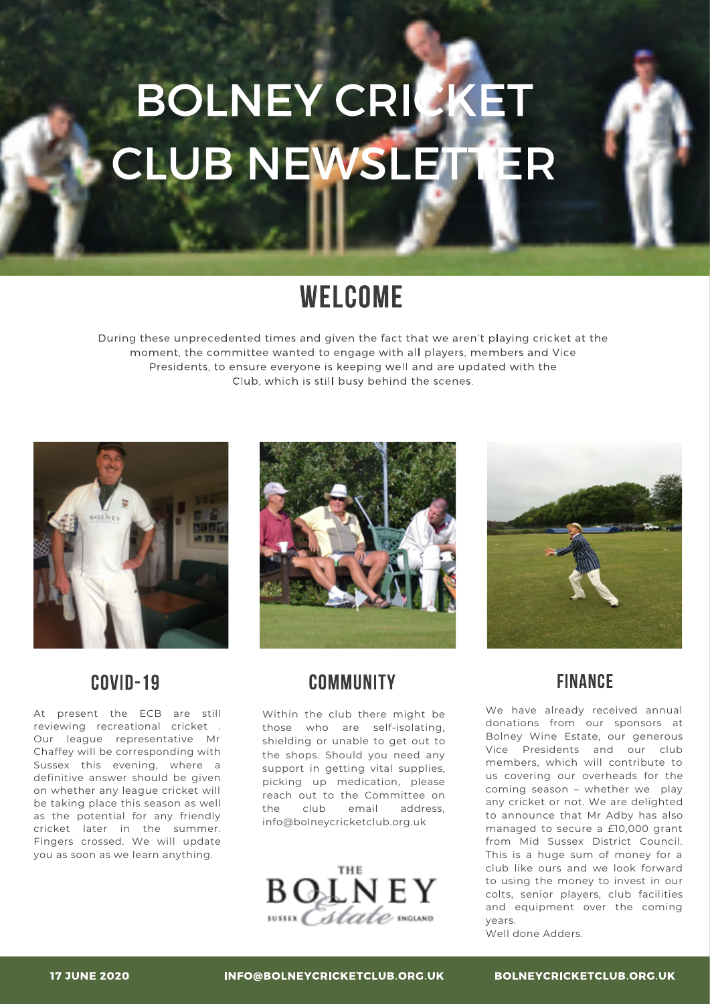# BOLNEY CRICKET CLUB NEWSLETTER

## WELCOME

During these unprecedented times and given the fact that we aren't playing cricket at the moment, the committee wanted to engage with all players, members and Vice Presidents, to ensure everyone is keeping well and are updated with the Club, which is still busy behind the scenes.



#### **COVID-19**

At present the ECB are still reviewing recreational cricket . Our league representative Mr Chaffey will be corresponding with Sussex this evening, where a definitive answer should be given on whether any league cricket will be taking place this season as well as the potential for any friendly cricket later in the summer. Fingers crossed. We will update you as soon as we learn anything.



#### COMMUNITY

Within the club there might be those who are self-isolating, shielding or unable to get out to the shops. Should you need any support in getting vital supplies, picking up medication, please reach out to the Committee on the club email address, info@bolneycricketclub.org.uk





#### **FINANCE**

We have already received annual donations from our sponsors at Bolney Wine Estate, our generous Vice Presidents and our club members, which will contribute to us covering our overheads for the coming season – whether we play any cricket or not. We are delighted to announce that Mr Adby has also managed to secure a £10,000 grant from Mid Sussex District Council. This is a huge sum of money for a club like ours and we look forward to using the money to invest in our colts, senior players, club facilities and equipment over the coming years.

Well done Adders.

INFO@BOLNEYCRICKETCLUB.ORG.UK